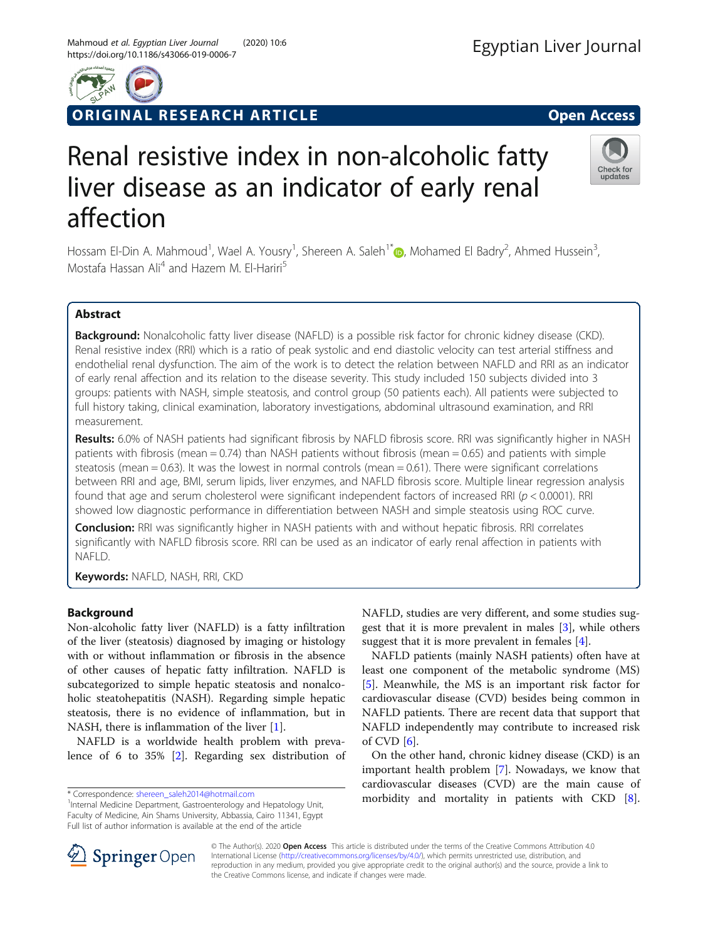# Renal resistive index in non-alcoholic fatty liver disease as an indicator of early renal affection

Hossam El-Din A. Mahmoud<sup>1</sup>, Wael A. Yousry<sup>1</sup>, Shereen A. Saleh<sup>1[\\*](http://orcid.org/0000-0002-0984-1725)</sup>@, Mohamed El Badry<sup>2</sup>, Ahmed Hussein<sup>3</sup> , Mostafa Hassan Ali<sup>4</sup> and Hazem M. El-Hariri<sup>5</sup>

## Abstract

Background: Nonalcoholic fatty liver disease (NAFLD) is a possible risk factor for chronic kidney disease (CKD). Renal resistive index (RRI) which is a ratio of peak systolic and end diastolic velocity can test arterial stiffness and endothelial renal dysfunction. The aim of the work is to detect the relation between NAFLD and RRI as an indicator of early renal affection and its relation to the disease severity. This study included 150 subjects divided into 3 groups: patients with NASH, simple steatosis, and control group (50 patients each). All patients were subjected to full history taking, clinical examination, laboratory investigations, abdominal ultrasound examination, and RRI measurement.

Results: 6.0% of NASH patients had significant fibrosis by NAFLD fibrosis score. RRI was significantly higher in NASH patients with fibrosis (mean = 0.74) than NASH patients without fibrosis (mean = 0.65) and patients with simple steatosis (mean  $= 0.63$ ). It was the lowest in normal controls (mean  $= 0.61$ ). There were significant correlations between RRI and age, BMI, serum lipids, liver enzymes, and NAFLD fibrosis score. Multiple linear regression analysis found that age and serum cholesterol were significant independent factors of increased RRI ( $p < 0.0001$ ). RRI showed low diagnostic performance in differentiation between NASH and simple steatosis using ROC curve.

**Conclusion:** RRI was significantly higher in NASH patients with and without hepatic fibrosis. RRI correlates significantly with NAFLD fibrosis score. RRI can be used as an indicator of early renal affection in patients with NAFLD.

Keywords: NAFLD, NASH, RRI, CKD

## Background

Non-alcoholic fatty liver (NAFLD) is a fatty infiltration of the liver (steatosis) diagnosed by imaging or histology with or without inflammation or fibrosis in the absence of other causes of hepatic fatty infiltration. NAFLD is subcategorized to simple hepatic steatosis and nonalcoholic steatohepatitis (NASH). Regarding simple hepatic steatosis, there is no evidence of inflammation, but in NASH, there is inflammation of the liver [\[1](#page-6-0)].

NAFLD is a worldwide health problem with prevalence of 6 to 35% [[2\]](#page-6-0). Regarding sex distribution of

\* Correspondence: [shereen\\_saleh2014@hotmail.com](mailto:shereen_saleh2014@hotmail.com) <sup>1</sup>

SpringerOpen

© The Author(s). 2020 Open Access This article is distributed under the terms of the Creative Commons Attribution 4.0 International License ([http://creativecommons.org/licenses/by/4.0/\)](http://creativecommons.org/licenses/by/4.0/), which permits unrestricted use, distribution, and reproduction in any medium, provided you give appropriate credit to the original author(s) and the source, provide a link to the Creative Commons license, and indicate if changes were made.

NAFLD, studies are very different, and some studies suggest that it is more prevalent in males [\[3](#page-6-0)], while others suggest that it is more prevalent in females [\[4\]](#page-7-0).

NAFLD patients (mainly NASH patients) often have at least one component of the metabolic syndrome (MS) [[5\]](#page-7-0). Meanwhile, the MS is an important risk factor for cardiovascular disease (CVD) besides being common in NAFLD patients. There are recent data that support that NAFLD independently may contribute to increased risk of CVD [\[6](#page-7-0)].

On the other hand, chronic kidney disease (CKD) is an important health problem [[7\]](#page-7-0). Nowadays, we know that cardiovascular diseases (CVD) are the main cause of morbidity and mortality in patients with CKD [\[8](#page-7-0)].

Check for updates



<sup>&</sup>lt;sup>1</sup>Internal Medicine Department, Gastroenterology and Hepatology Unit, Faculty of Medicine, Ain Shams University, Abbassia, Cairo 11341, Egypt Full list of author information is available at the end of the article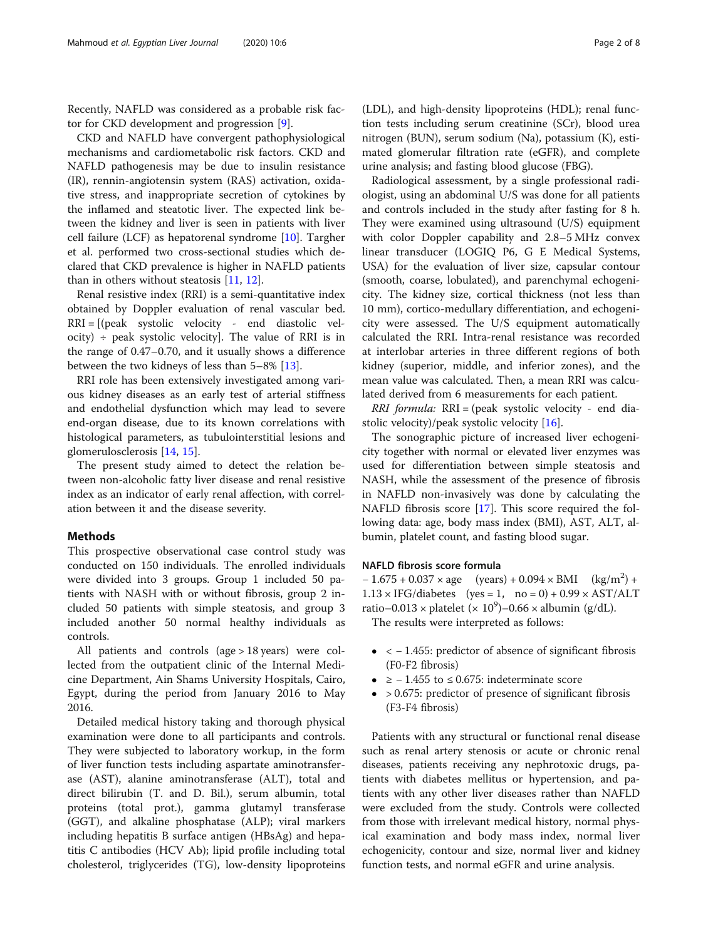Recently, NAFLD was considered as a probable risk factor for CKD development and progression [[9](#page-7-0)].

CKD and NAFLD have convergent pathophysiological mechanisms and cardiometabolic risk factors. CKD and NAFLD pathogenesis may be due to insulin resistance (IR), rennin-angiotensin system (RAS) activation, oxidative stress, and inappropriate secretion of cytokines by the inflamed and steatotic liver. The expected link between the kidney and liver is seen in patients with liver cell failure (LCF) as hepatorenal syndrome [\[10](#page-7-0)]. Targher et al. performed two cross-sectional studies which declared that CKD prevalence is higher in NAFLD patients than in others without steatosis [[11,](#page-7-0) [12\]](#page-7-0).

Renal resistive index (RRI) is a semi-quantitative index obtained by Doppler evaluation of renal vascular bed. RRI = [(peak systolic velocity - end diastolic velocity)  $\div$  peak systolic velocity]. The value of RRI is in the range of 0.47–0.70, and it usually shows a difference between the two kidneys of less than 5–8% [\[13](#page-7-0)].

RRI role has been extensively investigated among various kidney diseases as an early test of arterial stiffness and endothelial dysfunction which may lead to severe end-organ disease, due to its known correlations with histological parameters, as tubulointerstitial lesions and glomerulosclerosis [[14](#page-7-0), [15](#page-7-0)].

The present study aimed to detect the relation between non-alcoholic fatty liver disease and renal resistive index as an indicator of early renal affection, with correlation between it and the disease severity.

## Methods

This prospective observational case control study was conducted on 150 individuals. The enrolled individuals were divided into 3 groups. Group 1 included 50 patients with NASH with or without fibrosis, group 2 included 50 patients with simple steatosis, and group 3 included another 50 normal healthy individuals as controls.

All patients and controls (age > 18 years) were collected from the outpatient clinic of the Internal Medicine Department, Ain Shams University Hospitals, Cairo, Egypt, during the period from January 2016 to May 2016.

Detailed medical history taking and thorough physical examination were done to all participants and controls. They were subjected to laboratory workup, in the form of liver function tests including aspartate aminotransferase (AST), alanine aminotransferase (ALT), total and direct bilirubin (T. and D. Bil.), serum albumin, total proteins (total prot.), gamma glutamyl transferase (GGT), and alkaline phosphatase (ALP); viral markers including hepatitis B surface antigen (HBsAg) and hepatitis C antibodies (HCV Ab); lipid profile including total cholesterol, triglycerides (TG), low-density lipoproteins

(LDL), and high-density lipoproteins (HDL); renal function tests including serum creatinine (SCr), blood urea nitrogen (BUN), serum sodium (Na), potassium (K), estimated glomerular filtration rate (eGFR), and complete urine analysis; and fasting blood glucose (FBG).

Radiological assessment, by a single professional radiologist, using an abdominal U/S was done for all patients and controls included in the study after fasting for 8 h. They were examined using ultrasound (U/S) equipment with color Doppler capability and 2.8–5 MHz convex linear transducer (LOGIQ P6, G E Medical Systems, USA) for the evaluation of liver size, capsular contour (smooth, coarse, lobulated), and parenchymal echogenicity. The kidney size, cortical thickness (not less than 10 mm), cortico-medullary differentiation, and echogenicity were assessed. The U/S equipment automatically calculated the RRI. Intra-renal resistance was recorded at interlobar arteries in three different regions of both kidney (superior, middle, and inferior zones), and the mean value was calculated. Then, a mean RRI was calculated derived from 6 measurements for each patient.

RRI formula: RRI = (peak systolic velocity - end diastolic velocity)/peak systolic velocity [[16\]](#page-7-0).

The sonographic picture of increased liver echogenicity together with normal or elevated liver enzymes was used for differentiation between simple steatosis and NASH, while the assessment of the presence of fibrosis in NAFLD non-invasively was done by calculating the NAFLD fibrosis score [[17\]](#page-7-0). This score required the following data: age, body mass index (BMI), AST, ALT, albumin, platelet count, and fasting blood sugar.

#### NAFLD fibrosis score formula

 $-1.675 + 0.037 \times age$  (years) + 0.094 × BMI (kg/m<sup>2</sup>) +  $1.13 \times \text{IFG/diabetes}$  (yes = 1, no = 0) + 0.99  $\times$  AST/ALT ratio-0.013 × platelet ( $\times$  10<sup>9</sup>)-0.66 × albumin (g/dL).

The results were interpreted as follows:

- < − 1.455: predictor of absence of significant fibrosis (F0-F2 fibrosis)
- $\bullet$  ≥ 1.455 to ≤ 0.675: indeterminate score
- $\bullet$  > 0.675: predictor of presence of significant fibrosis (F3-F4 fibrosis)

Patients with any structural or functional renal disease such as renal artery stenosis or acute or chronic renal diseases, patients receiving any nephrotoxic drugs, patients with diabetes mellitus or hypertension, and patients with any other liver diseases rather than NAFLD were excluded from the study. Controls were collected from those with irrelevant medical history, normal physical examination and body mass index, normal liver echogenicity, contour and size, normal liver and kidney function tests, and normal eGFR and urine analysis.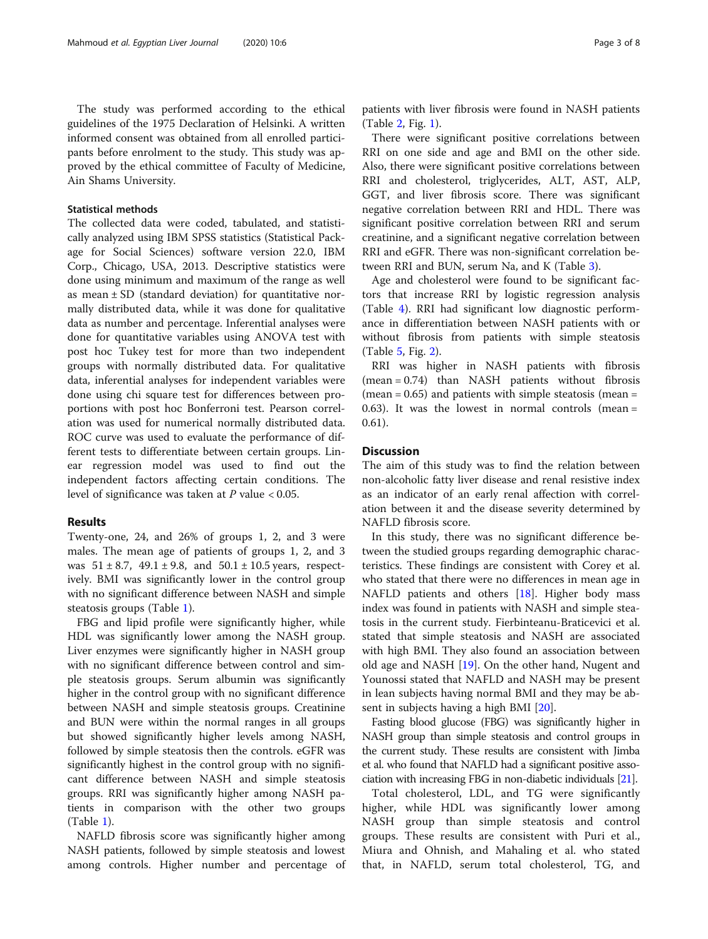The study was performed according to the ethical guidelines of the 1975 Declaration of Helsinki. A written informed consent was obtained from all enrolled participants before enrolment to the study. This study was approved by the ethical committee of Faculty of Medicine, Ain Shams University.

## Statistical methods

The collected data were coded, tabulated, and statistically analyzed using IBM SPSS statistics (Statistical Package for Social Sciences) software version 22.0, IBM Corp., Chicago, USA, 2013. Descriptive statistics were done using minimum and maximum of the range as well as mean  $\pm$  SD (standard deviation) for quantitative normally distributed data, while it was done for qualitative data as number and percentage. Inferential analyses were done for quantitative variables using ANOVA test with post hoc Tukey test for more than two independent groups with normally distributed data. For qualitative data, inferential analyses for independent variables were done using chi square test for differences between proportions with post hoc Bonferroni test. Pearson correlation was used for numerical normally distributed data. ROC curve was used to evaluate the performance of different tests to differentiate between certain groups. Linear regression model was used to find out the independent factors affecting certain conditions. The level of significance was taken at  $P$  value < 0.05.

## Results

Twenty-one, 24, and 26% of groups 1, 2, and 3 were males. The mean age of patients of groups 1, 2, and 3 was  $51 \pm 8.7$ ,  $49.1 \pm 9.8$ , and  $50.1 \pm 10.5$  years, respectively. BMI was significantly lower in the control group with no significant difference between NASH and simple steatosis groups (Table [1\)](#page-3-0).

FBG and lipid profile were significantly higher, while HDL was significantly lower among the NASH group. Liver enzymes were significantly higher in NASH group with no significant difference between control and simple steatosis groups. Serum albumin was significantly higher in the control group with no significant difference between NASH and simple steatosis groups. Creatinine and BUN were within the normal ranges in all groups but showed significantly higher levels among NASH, followed by simple steatosis then the controls. eGFR was significantly highest in the control group with no significant difference between NASH and simple steatosis groups. RRI was significantly higher among NASH patients in comparison with the other two groups (Table [1\)](#page-3-0).

NAFLD fibrosis score was significantly higher among NASH patients, followed by simple steatosis and lowest among controls. Higher number and percentage of

patients with liver fibrosis were found in NASH patients (Table [2,](#page-4-0) Fig. [1](#page-4-0)).

There were significant positive correlations between RRI on one side and age and BMI on the other side. Also, there were significant positive correlations between RRI and cholesterol, triglycerides, ALT, AST, ALP, GGT, and liver fibrosis score. There was significant negative correlation between RRI and HDL. There was significant positive correlation between RRI and serum creatinine, and a significant negative correlation between RRI and eGFR. There was non-significant correlation between RRI and BUN, serum Na, and K (Table [3](#page-5-0)).

Age and cholesterol were found to be significant factors that increase RRI by logistic regression analysis (Table [4](#page-5-0)). RRI had significant low diagnostic performance in differentiation between NASH patients with or without fibrosis from patients with simple steatosis (Table [5,](#page-5-0) Fig. [2](#page-6-0)).

RRI was higher in NASH patients with fibrosis (mean = 0.74) than NASH patients without fibrosis (mean =  $0.65$ ) and patients with simple steatosis (mean = 0.63). It was the lowest in normal controls (mean  $=$ 0.61).

## **Discussion**

The aim of this study was to find the relation between non-alcoholic fatty liver disease and renal resistive index as an indicator of an early renal affection with correlation between it and the disease severity determined by NAFLD fibrosis score.

In this study, there was no significant difference between the studied groups regarding demographic characteristics. These findings are consistent with Corey et al. who stated that there were no differences in mean age in NAFLD patients and others [[18\]](#page-7-0). Higher body mass index was found in patients with NASH and simple steatosis in the current study. Fierbinteanu-Braticevici et al. stated that simple steatosis and NASH are associated with high BMI. They also found an association between old age and NASH [[19\]](#page-7-0). On the other hand, Nugent and Younossi stated that NAFLD and NASH may be present in lean subjects having normal BMI and they may be absent in subjects having a high BMI [\[20\]](#page-7-0).

Fasting blood glucose (FBG) was significantly higher in NASH group than simple steatosis and control groups in the current study. These results are consistent with Jimba et al. who found that NAFLD had a significant positive association with increasing FBG in non-diabetic individuals [\[21\]](#page-7-0).

Total cholesterol, LDL, and TG were significantly higher, while HDL was significantly lower among NASH group than simple steatosis and control groups. These results are consistent with Puri et al., Miura and Ohnish, and Mahaling et al. who stated that, in NAFLD, serum total cholesterol, TG, and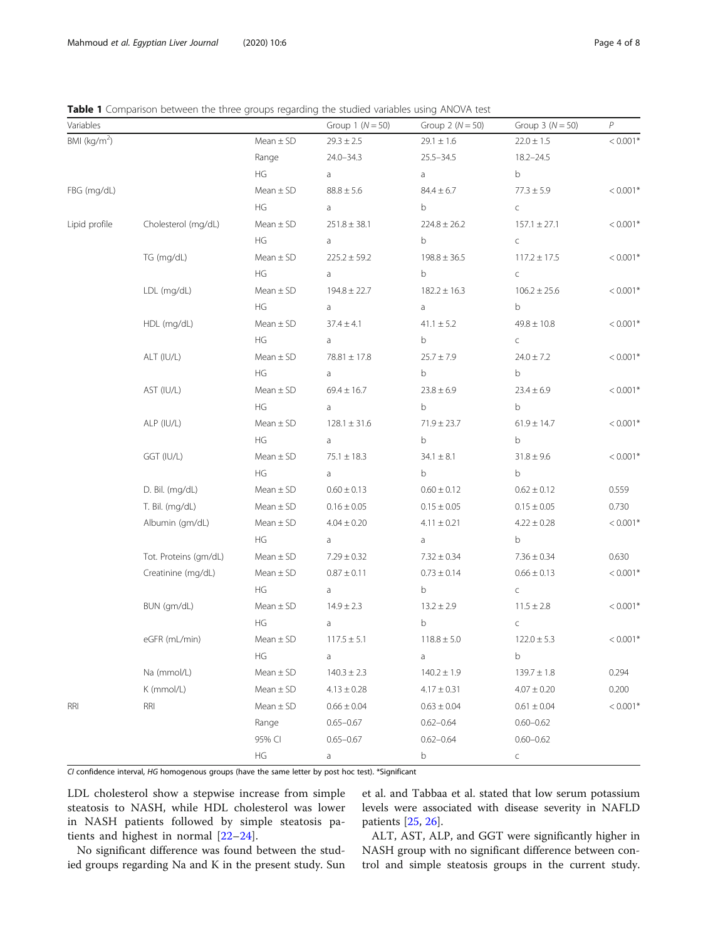<span id="page-3-0"></span>Table 1 Comparison between the three groups regarding the studied variables using ANOVA test

| Variables       |                       |               | Group 1 $(N = 50)$ | Group 2 ( $N = 50$ ) | Group $3(N = 50)$ | $\overline{P}$ |
|-----------------|-----------------------|---------------|--------------------|----------------------|-------------------|----------------|
| BMI ( $kg/m2$ ) |                       | $Mean \pm SD$ | $29.3 \pm 2.5$     | $29.1 \pm 1.6$       | $22.0 \pm 1.5$    | $< 0.001*$     |
|                 |                       | Range         | 24.0-34.3          | $25.5 - 34.5$        | 18.2-24.5         |                |
|                 |                       | HG            | a                  | a                    | b                 |                |
| FBG (mg/dL)     |                       | $Mean \pm SD$ | $88.8 \pm 5.6$     | $84.4 \pm 6.7$       | $77.3 \pm 5.9$    | $< 0.001*$     |
|                 |                       | HG            | a                  | b                    | $\subset$         |                |
| Lipid profile   | Cholesterol (mg/dL)   | $Mean \pm SD$ | $251.8 \pm 38.1$   | $224.8 \pm 26.2$     | $157.1 \pm 27.1$  | $< 0.001*$     |
|                 |                       | HG            | a                  | b                    | $\subset$         |                |
|                 | TG (mg/dL)            | $Mean \pm SD$ | $225.2 \pm 59.2$   | $198.8 \pm 36.5$     | $117.2 \pm 17.5$  | $< 0.001*$     |
|                 |                       | HG            | a                  | b                    | $\subset$         |                |
|                 | LDL (mg/dL)           | $Mean \pm SD$ | $194.8 \pm 22.7$   | $182.2 \pm 16.3$     | $106.2 \pm 25.6$  | $< 0.001*$     |
|                 |                       | HG            | a                  | a                    | b                 |                |
|                 | HDL (mg/dL)           | $Mean \pm SD$ | $37.4 \pm 4.1$     | $41.1 \pm 5.2$       | $49.8 \pm 10.8$   | $< 0.001*$     |
|                 |                       | HG            | a                  | b                    | $\subset$         |                |
|                 | ALT (IU/L)            | $Mean \pm SD$ | $78.81 \pm 17.8$   | $25.7 \pm 7.9$       | $24.0 \pm 7.2$    | $< 0.001*$     |
|                 |                       | HG            | a                  | $\mathsf b$          | b                 |                |
|                 | AST (IU/L)            | $Mean \pm SD$ | $69.4 \pm 16.7$    | $23.8 \pm 6.9$       | $23.4 \pm 6.9$    | $< 0.001*$     |
|                 |                       | HG            | a                  | b                    | $\mathsf b$       |                |
|                 | ALP (IU/L)            | $Mean \pm SD$ | $128.1 \pm 31.6$   | $71.9 \pm 23.7$      | $61.9 \pm 14.7$   | $< 0.001*$     |
|                 |                       | HG            | a                  | b                    | b                 |                |
|                 | GGT (IU/L)            | $Mean \pm SD$ | $75.1 \pm 18.3$    | $34.1 \pm 8.1$       | $31.8 \pm 9.6$    | $< 0.001*$     |
|                 |                       | HG            | a                  | b                    | b                 |                |
|                 | D. Bil. (mg/dL)       | $Mean \pm SD$ | $0.60 \pm 0.13$    | $0.60 \pm 0.12$      | $0.62 \pm 0.12$   | 0.559          |
|                 | T. Bil. (mg/dL)       | $Mean \pm SD$ | $0.16 \pm 0.05$    | $0.15 \pm 0.05$      | $0.15 \pm 0.05$   | 0.730          |
|                 | Albumin (gm/dL)       | $Mean \pm SD$ | $4.04 \pm 0.20$    | $4.11 \pm 0.21$      | $4.22 \pm 0.28$   | $< 0.001*$     |
|                 |                       | HG            | a                  | a                    | b                 |                |
|                 | Tot. Proteins (gm/dL) | $Mean \pm SD$ | $7.29 \pm 0.32$    | $7.32 \pm 0.34$      | $7.36 \pm 0.34$   | 0.630          |
|                 | Creatinine (mg/dL)    | $Mean \pm SD$ | $0.87 \pm 0.11$    | $0.73 \pm 0.14$      | $0.66 \pm 0.13$   | $< 0.001*$     |
|                 |                       | HG            | a                  | b                    | $\subset$         |                |
|                 | BUN (gm/dL)           | $Mean \pm SD$ | $14.9 \pm 2.3$     | $13.2 \pm 2.9$       | $11.5 \pm 2.8$    | $< 0.001*$     |
|                 |                       | HG            | a                  | b                    | $\subset$         |                |
|                 | eGFR (mL/min)         | $Mean \pm SD$ | $117.5 \pm 5.1$    | $118.8 \pm 5.0$      | $122.0 \pm 5.3$   | $< 0.001*$     |
|                 |                       | HG            | a                  | a                    | b                 |                |
|                 | Na (mmol/L)           | $Mean \pm SD$ | $140.3 \pm 2.3$    | $140.2 \pm 1.9$      | $139.7 \pm 1.8$   | 0.294          |
|                 | K (mmol/L)            | $Mean \pm SD$ | $4.13 \pm 0.28$    | $4.17 \pm 0.31$      | $4.07 \pm 0.20$   | 0.200          |
| RRI             | RRI                   | $Mean \pm SD$ | $0.66 \pm 0.04$    | $0.63 \pm 0.04$      | $0.61 \pm 0.04$   | $< 0.001*$     |
|                 |                       | Range         | $0.65 - 0.67$      | $0.62 - 0.64$        | $0.60 - 0.62$     |                |
|                 |                       | 95% CI        | $0.65 - 0.67$      | $0.62 - 0.64$        | $0.60 - 0.62$     |                |
|                 |                       | HG            | a                  | b                    | C                 |                |

CI confidence interval, HG homogenous groups (have the same letter by post hoc test). \*Significant

LDL cholesterol show a stepwise increase from simple steatosis to NASH, while HDL cholesterol was lower in NASH patients followed by simple steatosis patients and highest in normal [[22](#page-7-0)–[24\]](#page-7-0).

et al. and Tabbaa et al. stated that low serum potassium levels were associated with disease severity in NAFLD patients [[25,](#page-7-0) [26\]](#page-7-0).

No significant difference was found between the studied groups regarding Na and K in the present study. Sun

ALT, AST, ALP, and GGT were significantly higher in NASH group with no significant difference between control and simple steatosis groups in the current study.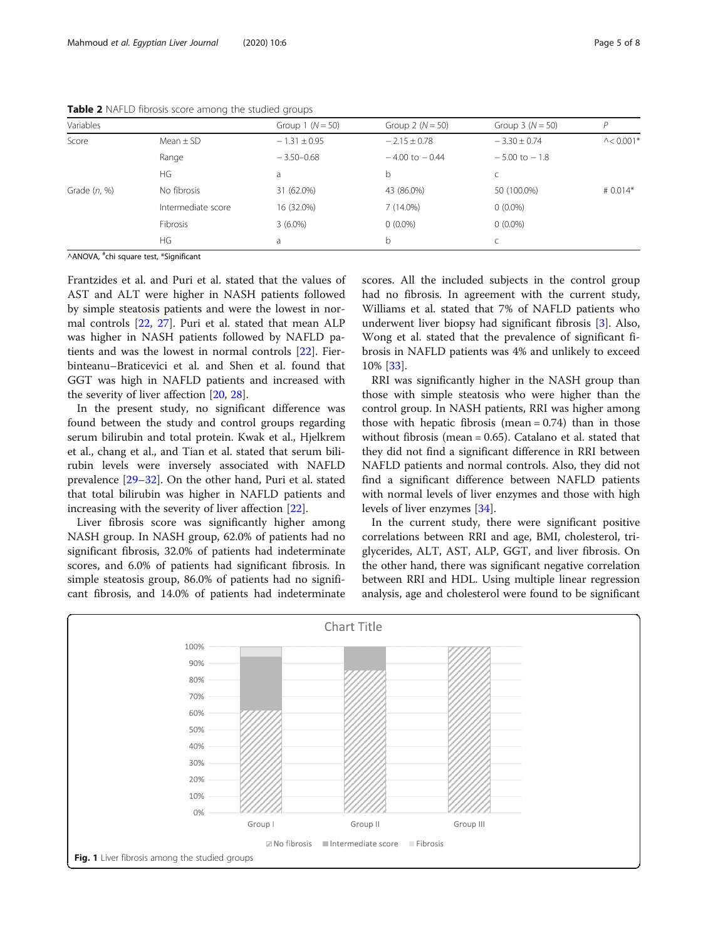<span id="page-4-0"></span>Table 2 NAFLD fibrosis score among the studied groups

| Variables    |                    | Group 1 $(N = 50)$ | Group 2 $(N = 50)$ | Group $3(N = 50)$ | P                  |
|--------------|--------------------|--------------------|--------------------|-------------------|--------------------|
| Score        | Mean $\pm$ SD      | $-1.31 \pm 0.95$   | $-2.15 \pm 0.78$   | $-3.30 \pm 0.74$  | $\lambda$ < 0.001* |
|              | Range              | $-3.50 - 0.68$     | $-4.00$ to $-0.44$ | $-5.00$ to $-1.8$ |                    |
|              | HG                 | a                  | b                  |                   |                    |
| Grade (n, %) | No fibrosis        | 31 (62.0%)         | 43 (86.0%)         | 50 (100.0%)       | # $0.014*$         |
|              | Intermediate score | 16 (32.0%)         | $7(14.0\%)$        | $0(0.0\%)$        |                    |
|              | Fibrosis           | $3(6.0\%)$         | $0(0.0\%)$         | $0(0.0\%)$        |                    |
|              | HG                 | a                  | b                  |                   |                    |
|              |                    |                    |                    |                   |                    |

^ANOVA, # chi square test, \*Significant

Frantzides et al. and Puri et al. stated that the values of AST and ALT were higher in NASH patients followed by simple steatosis patients and were the lowest in normal controls [\[22](#page-7-0), [27](#page-7-0)]. Puri et al. stated that mean ALP was higher in NASH patients followed by NAFLD patients and was the lowest in normal controls [\[22](#page-7-0)]. Fierbinteanu–Braticevici et al. and Shen et al. found that GGT was high in NAFLD patients and increased with the severity of liver affection [\[20](#page-7-0), [28\]](#page-7-0).

In the present study, no significant difference was found between the study and control groups regarding serum bilirubin and total protein. Kwak et al., Hjelkrem et al., chang et al., and Tian et al. stated that serum bilirubin levels were inversely associated with NAFLD prevalence [\[29](#page-7-0)–[32\]](#page-7-0). On the other hand, Puri et al. stated that total bilirubin was higher in NAFLD patients and increasing with the severity of liver affection [\[22](#page-7-0)].

Liver fibrosis score was significantly higher among NASH group. In NASH group, 62.0% of patients had no significant fibrosis, 32.0% of patients had indeterminate scores, and 6.0% of patients had significant fibrosis. In simple steatosis group, 86.0% of patients had no significant fibrosis, and 14.0% of patients had indeterminate scores. All the included subjects in the control group had no fibrosis. In agreement with the current study, Williams et al. stated that 7% of NAFLD patients who underwent liver biopsy had significant fibrosis [\[3\]](#page-6-0). Also, Wong et al. stated that the prevalence of significant fibrosis in NAFLD patients was 4% and unlikely to exceed 10% [[33](#page-7-0)].

RRI was significantly higher in the NASH group than those with simple steatosis who were higher than the control group. In NASH patients, RRI was higher among those with hepatic fibrosis (mean  $= 0.74$ ) than in those without fibrosis (mean = 0.65). Catalano et al. stated that they did not find a significant difference in RRI between NAFLD patients and normal controls. Also, they did not find a significant difference between NAFLD patients with normal levels of liver enzymes and those with high levels of liver enzymes [\[34](#page-7-0)].

In the current study, there were significant positive correlations between RRI and age, BMI, cholesterol, triglycerides, ALT, AST, ALP, GGT, and liver fibrosis. On the other hand, there was significant negative correlation between RRI and HDL. Using multiple linear regression analysis, age and cholesterol were found to be significant

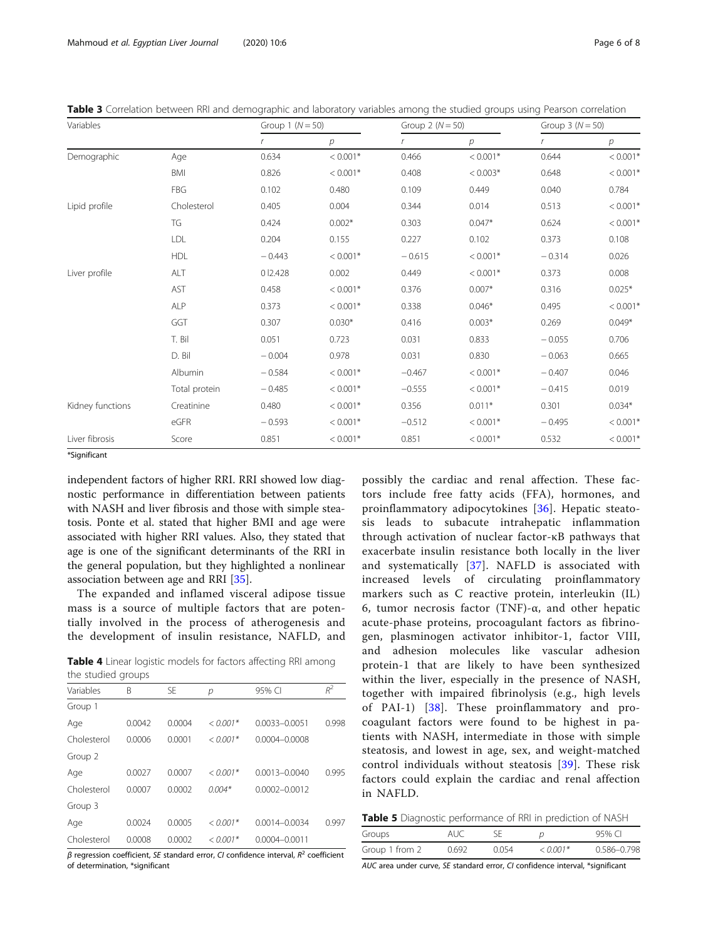| Variables        |               | Group $1(N = 50)$ |            |          | Group 2 $(N = 50)$ |          | Group $3(N = 50)$ |  |
|------------------|---------------|-------------------|------------|----------|--------------------|----------|-------------------|--|
|                  |               |                   | р          |          | $\mathcal{D}$      | r        | р                 |  |
| Demographic      | Age           | 0.634             | $< 0.001*$ | 0.466    | $< 0.001*$         | 0.644    | $< 0.001*$        |  |
|                  | <b>BMI</b>    | 0.826             | $< 0.001*$ | 0.408    | $< 0.003*$         | 0.648    | $< 0.001*$        |  |
|                  | FBG           | 0.102             | 0.480      | 0.109    | 0.449              | 0.040    | 0.784             |  |
| Lipid profile    | Cholesterol   | 0.405             | 0.004      | 0.344    | 0.014              | 0.513    | $< 0.001*$        |  |
|                  | TG            | 0.424             | $0.002*$   | 0.303    | $0.047*$           | 0.624    | $< 0.001*$        |  |
|                  | LDL           | 0.204             | 0.155      | 0.227    | 0.102              | 0.373    | 0.108             |  |
|                  | <b>HDL</b>    | $-0.443$          | $< 0.001*$ | $-0.615$ | $< 0.001*$         | $-0.314$ | 0.026             |  |
| Liver profile    | ALT           | 012.428           | 0.002      | 0.449    | $< 0.001*$         | 0.373    | 0.008             |  |
|                  | AST           | 0.458             | $< 0.001*$ | 0.376    | $0.007*$           | 0.316    | $0.025*$          |  |
|                  | ALP           | 0.373             | $< 0.001*$ | 0.338    | $0.046*$           | 0.495    | $< 0.001*$        |  |
|                  | GGT           | 0.307             | $0.030*$   | 0.416    | $0.003*$           | 0.269    | $0.049*$          |  |
|                  | T. Bil        | 0.051             | 0.723      | 0.031    | 0.833              | $-0.055$ | 0.706             |  |
|                  | D. Bil        | $-0.004$          | 0.978      | 0.031    | 0.830              | $-0.063$ | 0.665             |  |
|                  | Albumin       | $-0.584$          | $< 0.001*$ | $-0.467$ | $< 0.001*$         | $-0.407$ | 0.046             |  |
|                  | Total protein | $-0.485$          | $< 0.001*$ | $-0.555$ | $< 0.001*$         | $-0.415$ | 0.019             |  |
| Kidney functions | Creatinine    | 0.480             | $< 0.001*$ | 0.356    | $0.011*$           | 0.301    | $0.034*$          |  |
|                  | eGFR          | $-0.593$          | $< 0.001*$ | $-0.512$ | $< 0.001*$         | $-0.495$ | $< 0.001*$        |  |
| Liver fibrosis   | Score         | 0.851             | $< 0.001*$ | 0.851    | $< 0.001*$         | 0.532    | $< 0.001*$        |  |

<span id="page-5-0"></span>Table 3 Correlation between RRI and demographic and laboratory variables among the studied groups using Pearson correlation

\*Significant

independent factors of higher RRI. RRI showed low diagnostic performance in differentiation between patients with NASH and liver fibrosis and those with simple steatosis. Ponte et al. stated that higher BMI and age were associated with higher RRI values. Also, they stated that age is one of the significant determinants of the RRI in the general population, but they highlighted a nonlinear association between age and RRI [[35\]](#page-7-0).

The expanded and inflamed visceral adipose tissue mass is a source of multiple factors that are potentially involved in the process of atherogenesis and the development of insulin resistance, NAFLD, and

**Table 4** Linear logistic models for factors affecting RRI among the studied groups

| are stadica groups |        |           |            |                   |       |  |  |
|--------------------|--------|-----------|------------|-------------------|-------|--|--|
| Variables          | B      | <b>SE</b> | р          | 95% CI            | $R^2$ |  |  |
| Group 1            |        |           |            |                   |       |  |  |
| Age                | 0.0042 | 0.0004    | $< 0.001*$ | 0.0033-0.0051     | 0.998 |  |  |
| Cholesterol        | 0.0006 | 0.0001    | $< 0.001*$ | $0.0004 - 0.0008$ |       |  |  |
| Group 2            |        |           |            |                   |       |  |  |
| Age                | 0.0027 | 0.0007    | $< 0.001*$ | $0.0013 - 0.0040$ | 0.995 |  |  |
| Cholesterol        | 0.0007 | 0.0002    | $0.004*$   | $0.0002 - 0.0012$ |       |  |  |
| Group 3            |        |           |            |                   |       |  |  |
| Age                | 0.0024 | 0.0005    | $< 0.001*$ | 0.0014-0.0034     | 0.997 |  |  |
| Cholesterol        | 0.0008 | 0.0002    | $< 0.001*$ | $0.0004 - 0.0011$ |       |  |  |

 $β$  regression coefficient, SE standard error, CI confidence interval,  $R^2$  coefficient of determination, \*significant

possibly the cardiac and renal affection. These factors include free fatty acids (FFA), hormones, and proinflammatory adipocytokines [[36](#page-7-0)]. Hepatic steatosis leads to subacute intrahepatic inflammation through activation of nuclear factor-κB pathways that exacerbate insulin resistance both locally in the liver and systematically [\[37\]](#page-7-0). NAFLD is associated with increased levels of circulating proinflammatory markers such as C reactive protein, interleukin (IL) 6, tumor necrosis factor (TNF)-α, and other hepatic acute-phase proteins, procoagulant factors as fibrinogen, plasminogen activator inhibitor-1, factor VIII, and adhesion molecules like vascular adhesion protein-1 that are likely to have been synthesized within the liver, especially in the presence of NASH, together with impaired fibrinolysis (e.g., high levels of PAI-1) [[38\]](#page-7-0). These proinflammatory and procoagulant factors were found to be highest in patients with NASH, intermediate in those with simple steatosis, and lowest in age, sex, and weight-matched control individuals without steatosis [\[39\]](#page-7-0). These risk factors could explain the cardiac and renal affection in NAFLD.

Table 5 Diagnostic performance of RRI in prediction of NASH

| Groups         |       |      |            | 95% CI      |
|----------------|-------|------|------------|-------------|
| Group 1 from 2 | 0.692 | 0054 | $< 0.001*$ | 0.586-0.798 |

AUC area under curve, SE standard error, CI confidence interval, \*significant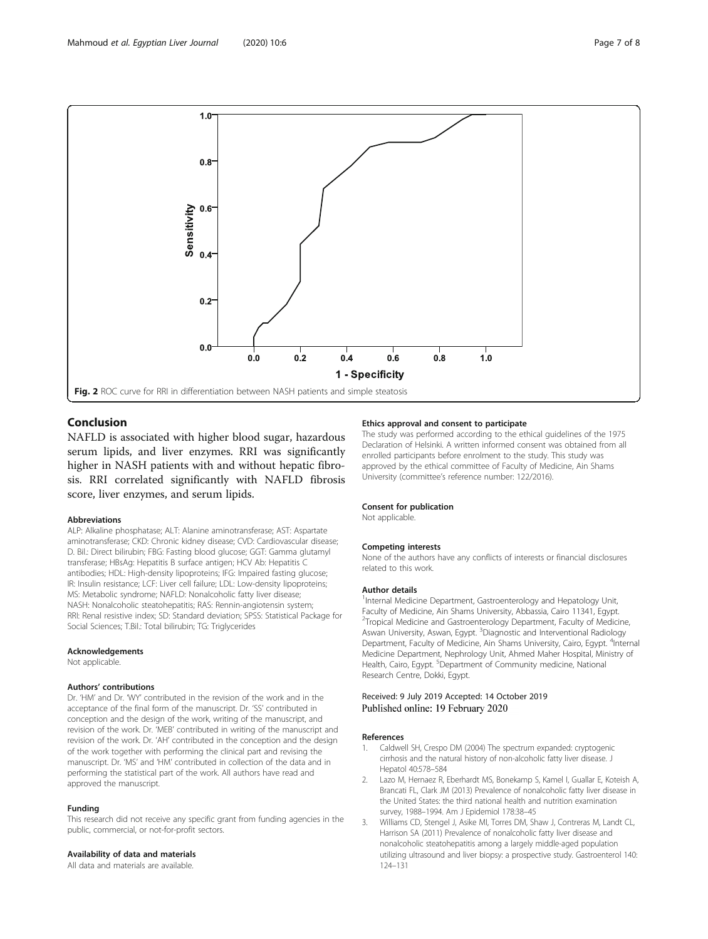<span id="page-6-0"></span>

## Conclusion

NAFLD is associated with higher blood sugar, hazardous serum lipids, and liver enzymes. RRI was significantly higher in NASH patients with and without hepatic fibrosis. RRI correlated significantly with NAFLD fibrosis score, liver enzymes, and serum lipids.

#### Abbreviations

ALP: Alkaline phosphatase; ALT: Alanine aminotransferase; AST: Aspartate aminotransferase; CKD: Chronic kidney disease; CVD: Cardiovascular disease; D. Bil.: Direct bilirubin; FBG: Fasting blood glucose; GGT: Gamma glutamyl transferase; HBsAg: Hepatitis B surface antigen; HCV Ab: Hepatitis C antibodies; HDL: High-density lipoproteins; IFG: Impaired fasting glucose; IR: Insulin resistance; LCF: Liver cell failure; LDL: Low-density lipoproteins; MS: Metabolic syndrome; NAFLD: Nonalcoholic fatty liver disease; NASH: Nonalcoholic steatohepatitis; RAS: Rennin-angiotensin system; RRI: Renal resistive index; SD: Standard deviation; SPSS: Statistical Package for Social Sciences; T.Bil.: Total bilirubin; TG: Triglycerides

#### Acknowledgements

Not applicable.

#### Authors' contributions

Dr. 'HM' and Dr. 'WY' contributed in the revision of the work and in the acceptance of the final form of the manuscript. Dr. 'SS' contributed in conception and the design of the work, writing of the manuscript, and revision of the work. Dr. 'MEB' contributed in writing of the manuscript and revision of the work. Dr. 'AH' contributed in the conception and the design of the work together with performing the clinical part and revising the manuscript. Dr. 'MS' and 'HM' contributed in collection of the data and in performing the statistical part of the work. All authors have read and approved the manuscript.

#### Funding

This research did not receive any specific grant from funding agencies in the public, commercial, or not-for-profit sectors.

#### Availability of data and materials

All data and materials are available.

### Ethics approval and consent to participate

The study was performed according to the ethical guidelines of the 1975 Declaration of Helsinki. A written informed consent was obtained from all enrolled participants before enrolment to the study. This study was approved by the ethical committee of Faculty of Medicine, Ain Shams University (committee's reference number: 122/2016).

#### Consent for publication

Not applicable.

#### Competing interests

None of the authors have any conflicts of interests or financial disclosures related to this work.

#### Author details

<sup>1</sup>Internal Medicine Department, Gastroenterology and Hepatology Unit Faculty of Medicine, Ain Shams University, Abbassia, Cairo 11341, Egypt. <sup>2</sup>Tropical Medicine and Gastroenterology Department, Faculty of Medicine, Aswan University, Aswan, Egypt. <sup>3</sup>Diagnostic and Interventional Radiology Department, Faculty of Medicine, Ain Shams University, Cairo, Egypt. <sup>4</sup>Internal Medicine Department, Nephrology Unit, Ahmed Maher Hospital, Ministry of Health, Cairo, Egypt. <sup>5</sup>Department of Community medicine, National Research Centre, Dokki, Egypt.

#### Received: 9 July 2019 Accepted: 14 October 2019 Published online: 19 February 2020

#### References

- 1. Caldwell SH, Crespo DM (2004) The spectrum expanded: cryptogenic cirrhosis and the natural history of non-alcoholic fatty liver disease. J Hepatol 40:578–584
- 2. Lazo M, Hernaez R, Eberhardt MS, Bonekamp S, Kamel I, Guallar E, Koteish A, Brancati FL, Clark JM (2013) Prevalence of nonalcoholic fatty liver disease in the United States: the third national health and nutrition examination survey, 1988–1994. Am J Epidemiol 178:38–45
- 3. Williams CD, Stengel J, Asike MI, Torres DM, Shaw J, Contreras M, Landt CL, Harrison SA (2011) Prevalence of nonalcoholic fatty liver disease and nonalcoholic steatohepatitis among a largely middle-aged population utilizing ultrasound and liver biopsy: a prospective study. Gastroenterol 140: 124–131